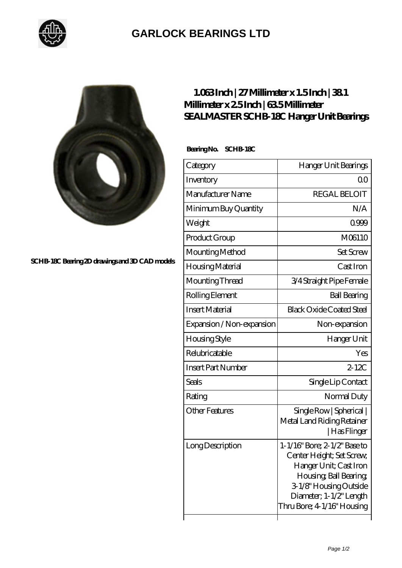

## **[GARLOCK BEARINGS LTD](https://m.letterstopriests.com)**



**[SCHB-18C Bearing 2D drawings and 3D CAD models](https://m.letterstopriests.com/pic-189209.html)**

## **[1.063 Inch | 27 Millimeter x 1.5 Inch | 38.1](https://m.letterstopriests.com/aw-189209-sealmaster-schb-18c-hanger-unit-bearings.html) [Millimeter x 2.5 Inch | 63.5 Millimeter](https://m.letterstopriests.com/aw-189209-sealmaster-schb-18c-hanger-unit-bearings.html) [SEALMASTER SCHB-18C Hanger Unit Bearings](https://m.letterstopriests.com/aw-189209-sealmaster-schb-18c-hanger-unit-bearings.html)**

 **Bearing No. SCHB-18C**

| Category                  | Hanger Unit Bearings                                                                                                                                                                             |
|---------------------------|--------------------------------------------------------------------------------------------------------------------------------------------------------------------------------------------------|
| Inventory                 | QΟ                                                                                                                                                                                               |
| Manufacturer Name         | <b>REGAL BELOIT</b>                                                                                                                                                                              |
| Minimum Buy Quantity      | N/A                                                                                                                                                                                              |
| Weight                    | 0999                                                                                                                                                                                             |
| Product Group             | M06110                                                                                                                                                                                           |
| Mounting Method           | <b>Set Screw</b>                                                                                                                                                                                 |
| Housing Material          | Cast Iron                                                                                                                                                                                        |
| Mounting Thread           | 3/4 Straight Pipe Female                                                                                                                                                                         |
| Rolling Element           | <b>Ball Bearing</b>                                                                                                                                                                              |
| <b>Insert Material</b>    | <b>Black Oxide Coated Steel</b>                                                                                                                                                                  |
| Expansion / Non-expansion | Non-expansion                                                                                                                                                                                    |
| Housing Style             | Hanger Unit                                                                                                                                                                                      |
| Relubricatable            | Yes                                                                                                                                                                                              |
| <b>Insert Part Number</b> | $2-12C$                                                                                                                                                                                          |
| <b>Seals</b>              | Single Lip Contact                                                                                                                                                                               |
| Rating                    | Normal Duty                                                                                                                                                                                      |
| <b>Other Features</b>     | Single Row   Spherical  <br>Metal Land Riding Retainer<br>  Has Flinger                                                                                                                          |
| Long Description          | 1-1/16" Bore; 2-1/2" Base to<br>Center Height; Set Screw,<br>Hanger Unit; Cast Iron<br>Housing, Ball Bearing,<br>3-1/8" Housing Outside<br>Diameter; 1-1/2" Length<br>Thru Bore; 4 1/16" Housing |